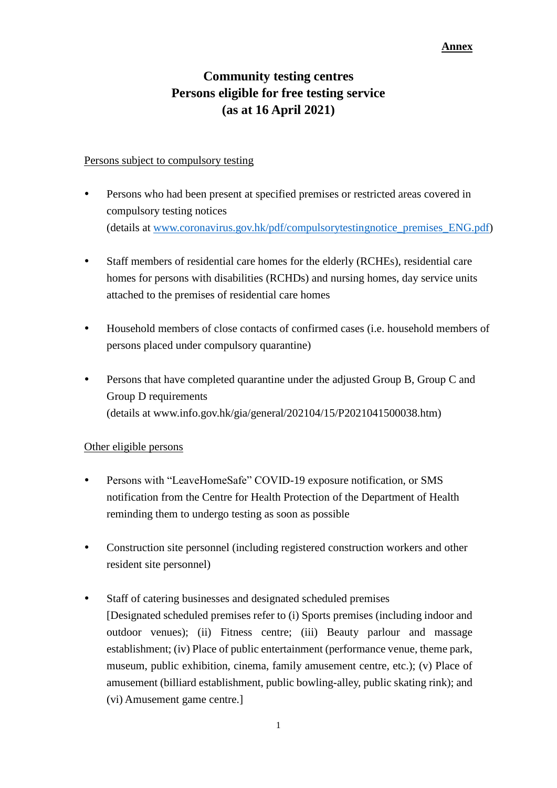### **Annex**

# **Community testing centres Persons eligible for free testing service (as at 16 April 2021)**

### Persons subject to compulsory testing

- Persons who had been present at specified premises or restricted areas covered in compulsory testing notices (details at [www.coronavirus.gov.hk/pdf/compulsorytestingnotice\\_premises\\_ENG.pdf\)](http://www.coronavirus.gov.hk/pdf/compulsorytestingnotice_premises_ENG.pdf)
- Staff members of residential care homes for the elderly (RCHEs), residential care homes for persons with disabilities (RCHDs) and nursing homes, day service units attached to the premises of residential care homes
- Household members of close contacts of confirmed cases (i.e. household members of persons placed under compulsory quarantine)
- Persons that have completed quarantine under the adjusted Group B, Group C and Group D requirements (details at www.info.gov.hk/gia/general/202104/15/P2021041500038.htm)

## Other eligible persons

- Persons with "LeaveHomeSafe" COVID-19 exposure notification, or SMS notification from the Centre for Health Protection of the Department of Health reminding them to undergo testing as soon as possible
- Construction site personnel (including registered construction workers and other resident site personnel)
- Staff of catering businesses and designated scheduled premises [Designated scheduled premises refer to (i) Sports premises (including indoor and outdoor venues); (ii) Fitness centre; (iii) Beauty parlour and massage establishment; (iv) Place of public entertainment (performance venue, theme park, museum, public exhibition, cinema, family amusement centre, etc.); (v) Place of amusement (billiard establishment, public bowling-alley, public skating rink); and (vi) Amusement game centre.]